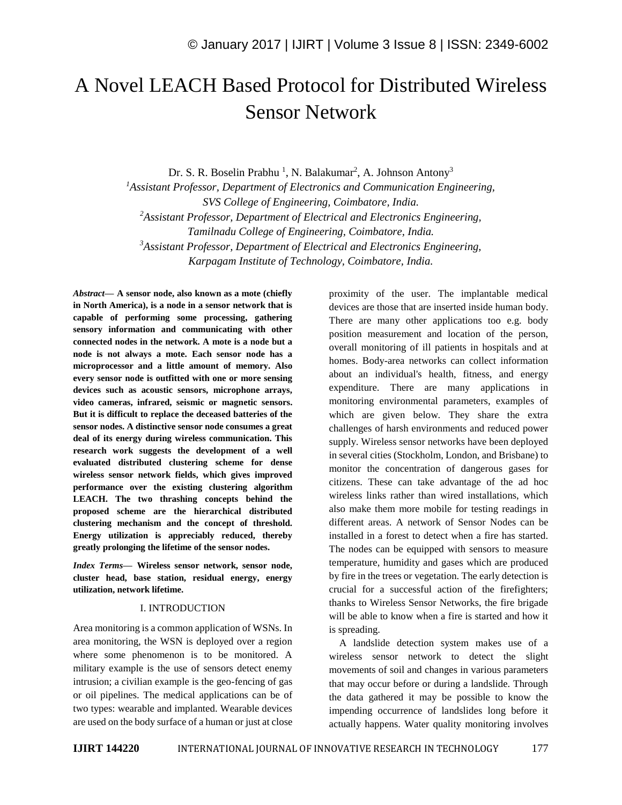# A Novel LEACH Based Protocol for Distributed Wireless Sensor Network

Dr. S. R. Boselin Prabhu<sup>1</sup>, N. Balakumar<sup>2</sup>, A. Johnson Antony<sup>3</sup>

*<sup>1</sup>Assistant Professor, Department of Electronics and Communication Engineering, SVS College of Engineering, Coimbatore, India. <sup>2</sup>Assistant Professor, Department of Electrical and Electronics Engineering, Tamilnadu College of Engineering, Coimbatore, India. <sup>3</sup>Assistant Professor, Department of Electrical and Electronics Engineering, Karpagam Institute of Technology, Coimbatore, India.*

*Abstract—* **A sensor node, also known as a mote (chiefly in North America), is a node in a sensor network that is capable of performing some processing, gathering sensory information and communicating with other connected nodes in the network. A mote is a node but a node is not always a mote. Each sensor node has a microprocessor and a little amount of memory. Also every sensor node is outfitted with one or more sensing devices such as acoustic sensors, microphone arrays, video cameras, infrared, seismic or magnetic sensors. But it is difficult to replace the deceased batteries of the sensor nodes. A distinctive sensor node consumes a great deal of its energy during wireless communication. This research work suggests the development of a well evaluated distributed clustering scheme for dense wireless sensor network fields, which gives improved performance over the existing clustering algorithm LEACH. The two thrashing concepts behind the proposed scheme are the hierarchical distributed clustering mechanism and the concept of threshold. Energy utilization is appreciably reduced, thereby greatly prolonging the lifetime of the sensor nodes.**

*Index Terms—* **Wireless sensor network, sensor node, cluster head, base station, residual energy, energy utilization, network lifetime.**

#### I. INTRODUCTION

Area monitoring is a common application of WSNs. In area monitoring, the WSN is deployed over a region where some phenomenon is to be monitored. A military example is the use of sensors detect enemy intrusion; a civilian example is the geo-fencing of gas or oil pipelines. The medical applications can be of two types: wearable and implanted. Wearable devices are used on the body surface of a human or just at close proximity of the user. The implantable medical devices are those that are inserted inside human body. There are many other applications too e.g. body position measurement and location of the person, overall monitoring of ill patients in hospitals and at homes. Body-area networks can collect information about an individual's health, fitness, and energy expenditure. There are many applications in monitoring environmental parameters, examples of which are given below. They share the extra challenges of harsh environments and reduced power supply. Wireless sensor networks have been deployed in several cities (Stockholm, London, and Brisbane) to monitor the concentration of dangerous gases for citizens. These can take advantage of the ad hoc wireless links rather than wired installations, which also make them more mobile for testing readings in different areas. A network of Sensor Nodes can be installed in a forest to detect when a fire has started. The nodes can be equipped with sensors to measure temperature, humidity and gases which are produced by fire in the trees or vegetation. The early detection is crucial for a successful action of the firefighters; thanks to Wireless Sensor Networks, the fire brigade will be able to know when a fire is started and how it is spreading.

A landslide detection system makes use of a wireless sensor network to detect the slight movements of soil and changes in various parameters that may occur before or during a landslide. Through the data gathered it may be possible to know the impending occurrence of landslides long before it actually happens. Water quality monitoring involves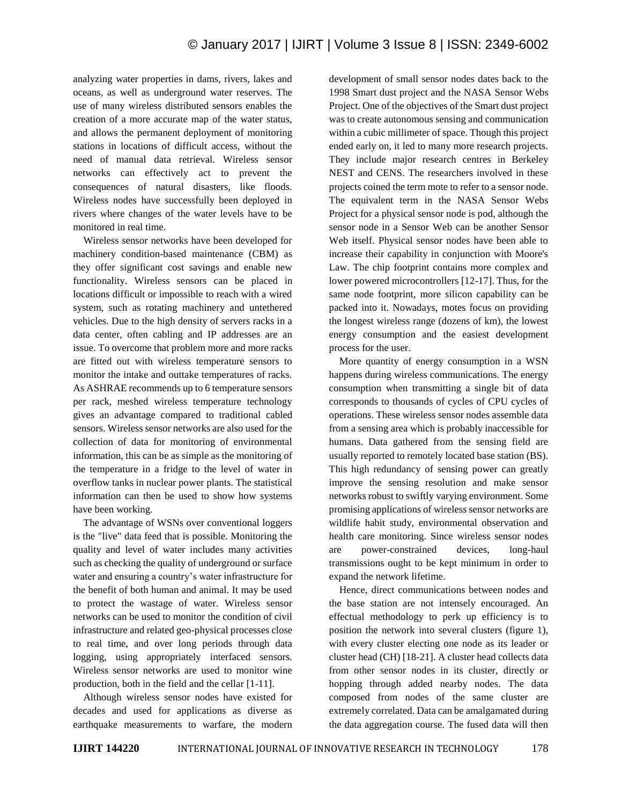analyzing water properties in dams, rivers, lakes and oceans, as well as underground water reserves. The use of many wireless distributed sensors enables the creation of a more accurate map of the water status, and allows the permanent deployment of monitoring stations in locations of difficult access, without the need of manual data retrieval. Wireless sensor networks can effectively act to prevent the consequences of natural disasters, like floods. Wireless nodes have successfully been deployed in rivers where changes of the water levels have to be monitored in real time.

Wireless sensor networks have been developed for machinery condition-based maintenance (CBM) as they offer significant cost savings and enable new functionality. Wireless sensors can be placed in locations difficult or impossible to reach with a wired system, such as rotating machinery and untethered vehicles. Due to the high density of servers racks in a data center, often cabling and IP addresses are an issue. To overcome that problem more and more racks are fitted out with wireless temperature sensors to monitor the intake and outtake temperatures of racks. As ASHRAE recommends up to 6 temperature sensors per rack, meshed wireless temperature technology gives an advantage compared to traditional cabled sensors. Wireless sensor networks are also used for the collection of data for monitoring of environmental information, this can be as simple as the monitoring of the temperature in a fridge to the level of water in overflow tanks in nuclear power plants. The statistical information can then be used to show how systems have been working.

The advantage of WSNs over conventional loggers is the "live" data feed that is possible. Monitoring the quality and level of water includes many activities such as checking the quality of underground or surface water and ensuring a country's water infrastructure for the benefit of both human and animal. It may be used to protect the wastage of water. Wireless sensor networks can be used to monitor the condition of civil infrastructure and related geo-physical processes close to real time, and over long periods through data logging, using appropriately interfaced sensors. Wireless sensor networks are used to monitor wine production, both in the field and the cellar [1-11].

Although wireless sensor nodes have existed for decades and used for applications as diverse as earthquake measurements to warfare, the modern development of small sensor nodes dates back to the 1998 Smart dust project and the NASA Sensor Webs Project. One of the objectives of the Smart dust project was to create autonomous sensing and communication within a cubic millimeter of space. Though this project ended early on, it led to many more research projects. They include major research centres in Berkeley NEST and CENS. The researchers involved in these projects coined the term mote to refer to a sensor node. The equivalent term in the NASA Sensor Webs Project for a physical sensor node is pod, although the sensor node in a Sensor Web can be another Sensor Web itself. Physical sensor nodes have been able to increase their capability in conjunction with Moore's Law. The chip footprint contains more complex and lower powered microcontrollers [12-17]. Thus, for the same node footprint, more silicon capability can be packed into it. Nowadays, motes focus on providing the longest wireless range (dozens of km), the lowest energy consumption and the easiest development process for the user.

More quantity of energy consumption in a WSN happens during wireless communications. The energy consumption when transmitting a single bit of data corresponds to thousands of cycles of CPU cycles of operations. These wireless sensor nodes assemble data from a sensing area which is probably inaccessible for humans. Data gathered from the sensing field are usually reported to remotely located base station (BS). This high redundancy of sensing power can greatly improve the sensing resolution and make sensor networks robust to swiftly varying environment. Some promising applications of wireless sensor networks are wildlife habit study, environmental observation and health care monitoring. Since wireless sensor nodes are power-constrained devices, long-haul transmissions ought to be kept minimum in order to expand the network lifetime.

Hence, direct communications between nodes and the base station are not intensely encouraged. An effectual methodology to perk up efficiency is to position the network into several clusters (figure 1), with every cluster electing one node as its leader or cluster head (CH) [18-21]. A cluster head collects data from other sensor nodes in its cluster, directly or hopping through added nearby nodes. The data composed from nodes of the same cluster are extremely correlated. Data can be amalgamated during the data aggregation course. The fused data will then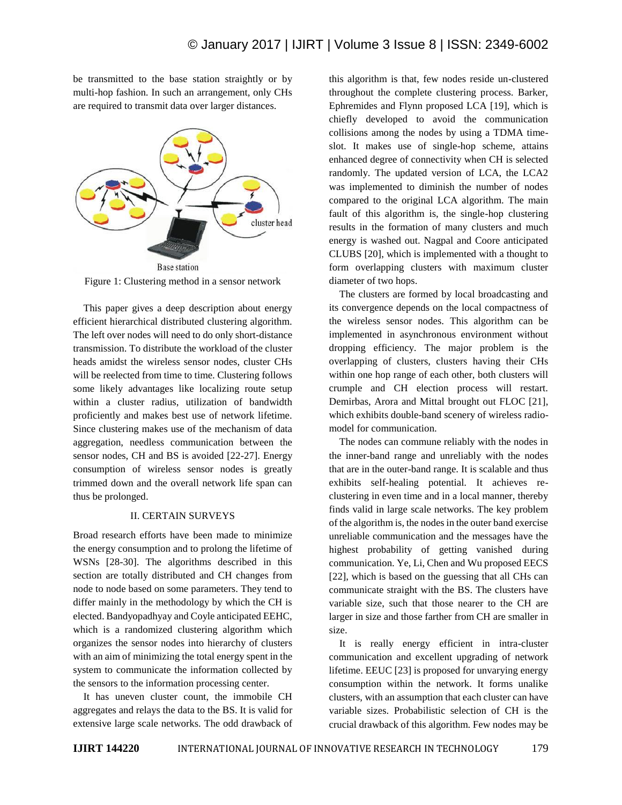be transmitted to the base station straightly or by multi-hop fashion. In such an arrangement, only CHs are required to transmit data over larger distances.



Figure 1: Clustering method in a sensor network

This paper gives a deep description about energy efficient hierarchical distributed clustering algorithm. The left over nodes will need to do only short-distance transmission. To distribute the workload of the cluster heads amidst the wireless sensor nodes, cluster CHs will be reelected from time to time. Clustering follows some likely advantages like localizing route setup within a cluster radius, utilization of bandwidth proficiently and makes best use of network lifetime. Since clustering makes use of the mechanism of data aggregation, needless communication between the sensor nodes, CH and BS is avoided [22-27]. Energy consumption of wireless sensor nodes is greatly trimmed down and the overall network life span can thus be prolonged.

## II. CERTAIN SURVEYS

Broad research efforts have been made to minimize the energy consumption and to prolong the lifetime of WSNs [28-30]. The algorithms described in this section are totally distributed and CH changes from node to node based on some parameters. They tend to differ mainly in the methodology by which the CH is elected. Bandyopadhyay and Coyle anticipated EEHC, which is a randomized clustering algorithm which organizes the sensor nodes into hierarchy of clusters with an aim of minimizing the total energy spent in the system to communicate the information collected by the sensors to the information processing center.

It has uneven cluster count, the immobile CH aggregates and relays the data to the BS. It is valid for extensive large scale networks. The odd drawback of this algorithm is that, few nodes reside un-clustered throughout the complete clustering process. Barker, Ephremides and Flynn proposed LCA [19], which is chiefly developed to avoid the communication collisions among the nodes by using a TDMA timeslot. It makes use of single-hop scheme, attains enhanced degree of connectivity when CH is selected randomly. The updated version of LCA, the LCA2 was implemented to diminish the number of nodes compared to the original LCA algorithm. The main fault of this algorithm is, the single-hop clustering results in the formation of many clusters and much energy is washed out. Nagpal and Coore anticipated CLUBS [20], which is implemented with a thought to form overlapping clusters with maximum cluster diameter of two hops.

The clusters are formed by local broadcasting and its convergence depends on the local compactness of the wireless sensor nodes. This algorithm can be implemented in asynchronous environment without dropping efficiency. The major problem is the overlapping of clusters, clusters having their CHs within one hop range of each other, both clusters will crumple and CH election process will restart. Demirbas, Arora and Mittal brought out FLOC [21], which exhibits double-band scenery of wireless radiomodel for communication.

The nodes can commune reliably with the nodes in the inner-band range and unreliably with the nodes that are in the outer-band range. It is scalable and thus exhibits self-healing potential. It achieves reclustering in even time and in a local manner, thereby finds valid in large scale networks. The key problem of the algorithm is, the nodes in the outer band exercise unreliable communication and the messages have the highest probability of getting vanished during communication. Ye, Li, Chen and Wu proposed EECS [22], which is based on the guessing that all CHs can communicate straight with the BS. The clusters have variable size, such that those nearer to the CH are larger in size and those farther from CH are smaller in size.

It is really energy efficient in intra-cluster communication and excellent upgrading of network lifetime. EEUC [23] is proposed for unvarying energy consumption within the network. It forms unalike clusters, with an assumption that each cluster can have variable sizes. Probabilistic selection of CH is the crucial drawback of this algorithm. Few nodes may be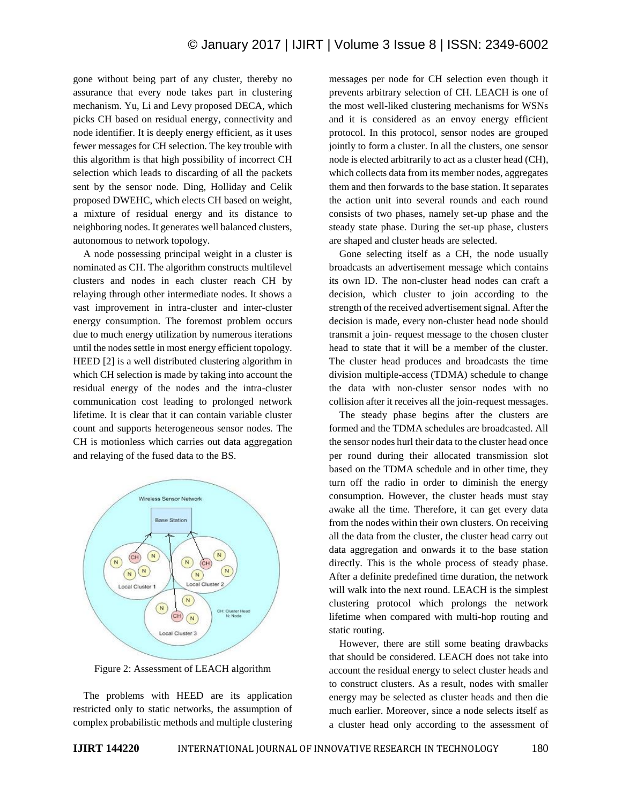gone without being part of any cluster, thereby no assurance that every node takes part in clustering mechanism. Yu, Li and Levy proposed DECA, which picks CH based on residual energy, connectivity and node identifier. It is deeply energy efficient, as it uses fewer messages for CH selection. The key trouble with this algorithm is that high possibility of incorrect CH selection which leads to discarding of all the packets sent by the sensor node. Ding, Holliday and Celik proposed DWEHC, which elects CH based on weight, a mixture of residual energy and its distance to neighboring nodes. It generates well balanced clusters, autonomous to network topology.

A node possessing principal weight in a cluster is nominated as CH. The algorithm constructs multilevel clusters and nodes in each cluster reach CH by relaying through other intermediate nodes. It shows a vast improvement in intra-cluster and inter-cluster energy consumption. The foremost problem occurs due to much energy utilization by numerous iterations until the nodes settle in most energy efficient topology. HEED [2] is a well distributed clustering algorithm in which CH selection is made by taking into account the residual energy of the nodes and the intra-cluster communication cost leading to prolonged network lifetime. It is clear that it can contain variable cluster count and supports heterogeneous sensor nodes. The CH is motionless which carries out data aggregation and relaying of the fused data to the BS.



Figure 2: Assessment of LEACH algorithm

The problems with HEED are its application restricted only to static networks, the assumption of complex probabilistic methods and multiple clustering

messages per node for CH selection even though it prevents arbitrary selection of CH. LEACH is one of the most well-liked clustering mechanisms for WSNs and it is considered as an envoy energy efficient protocol. In this protocol, sensor nodes are grouped jointly to form a cluster. In all the clusters, one sensor node is elected arbitrarily to act as a cluster head (CH), which collects data from its member nodes, aggregates them and then forwards to the base station. It separates the action unit into several rounds and each round consists of two phases, namely set-up phase and the steady state phase. During the set-up phase, clusters are shaped and cluster heads are selected.

Gone selecting itself as a CH, the node usually broadcasts an advertisement message which contains its own ID. The non-cluster head nodes can craft a decision, which cluster to join according to the strength of the received advertisement signal. After the decision is made, every non-cluster head node should transmit a join- request message to the chosen cluster head to state that it will be a member of the cluster. The cluster head produces and broadcasts the time division multiple-access (TDMA) schedule to change the data with non-cluster sensor nodes with no collision after it receives all the join-request messages.

The steady phase begins after the clusters are formed and the TDMA schedules are broadcasted. All the sensor nodes hurl their data to the cluster head once per round during their allocated transmission slot based on the TDMA schedule and in other time, they turn off the radio in order to diminish the energy consumption. However, the cluster heads must stay awake all the time. Therefore, it can get every data from the nodes within their own clusters. On receiving all the data from the cluster, the cluster head carry out data aggregation and onwards it to the base station directly. This is the whole process of steady phase. After a definite predefined time duration, the network will walk into the next round. LEACH is the simplest clustering protocol which prolongs the network lifetime when compared with multi-hop routing and static routing.

However, there are still some beating drawbacks that should be considered. LEACH does not take into account the residual energy to select cluster heads and to construct clusters. As a result, nodes with smaller energy may be selected as cluster heads and then die much earlier. Moreover, since a node selects itself as a cluster head only according to the assessment of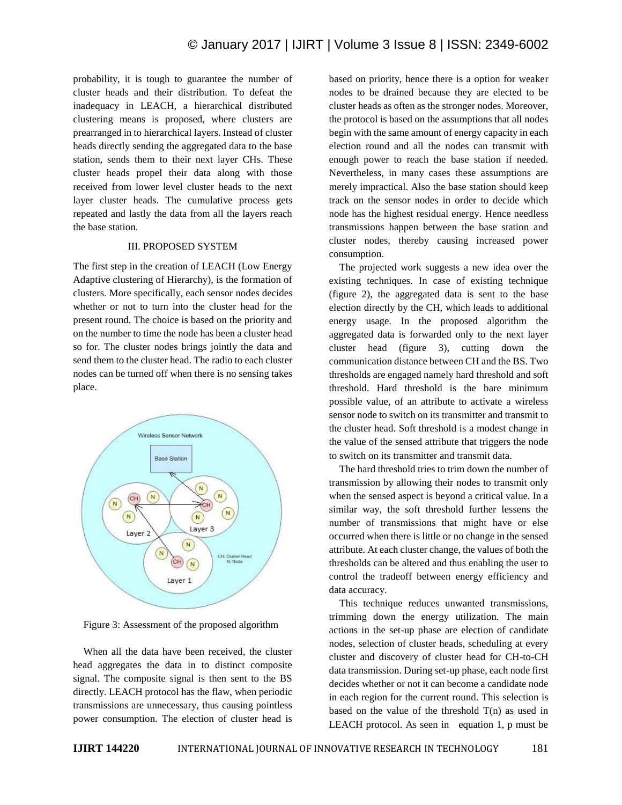probability, it is tough to guarantee the number of cluster heads and their distribution. To defeat the inadequacy in LEACH, a hierarchical distributed clustering means is proposed, where clusters are prearranged in to hierarchical layers. Instead of cluster heads directly sending the aggregated data to the base station, sends them to their next layer CHs. These cluster heads propel their data along with those received from lower level cluster heads to the next layer cluster heads. The cumulative process gets repeated and lastly the data from all the layers reach the base station.

#### III. PROPOSED SYSTEM

The first step in the creation of LEACH (Low Energy Adaptive clustering of Hierarchy), is the formation of clusters. More specifically, each sensor nodes decides whether or not to turn into the cluster head for the present round. The choice is based on the priority and on the number to time the node has been a cluster head so for. The cluster nodes brings jointly the data and send them to the cluster head. The radio to each cluster nodes can be turned off when there is no sensing takes place.



Figure 3: Assessment of the proposed algorithm

When all the data have been received, the cluster head aggregates the data in to distinct composite signal. The composite signal is then sent to the BS directly. LEACH protocol has the flaw, when periodic transmissions are unnecessary, thus causing pointless power consumption. The election of cluster head is based on priority, hence there is a option for weaker nodes to be drained because they are elected to be cluster heads as often as the stronger nodes. Moreover, the protocol is based on the assumptions that all nodes begin with the same amount of energy capacity in each election round and all the nodes can transmit with enough power to reach the base station if needed. Nevertheless, in many cases these assumptions are merely impractical. Also the base station should keep track on the sensor nodes in order to decide which node has the highest residual energy. Hence needless transmissions happen between the base station and cluster nodes, thereby causing increased power consumption.

The projected work suggests a new idea over the existing techniques. In case of existing technique (figure 2), the aggregated data is sent to the base election directly by the CH, which leads to additional energy usage. In the proposed algorithm the aggregated data is forwarded only to the next layer cluster head (figure 3), cutting down the communication distance between CH and the BS. Two thresholds are engaged namely hard threshold and soft threshold. Hard threshold is the bare minimum possible value, of an attribute to activate a wireless sensor node to switch on its transmitter and transmit to the cluster head. Soft threshold is a modest change in the value of the sensed attribute that triggers the node to switch on its transmitter and transmit data.

The hard threshold tries to trim down the number of transmission by allowing their nodes to transmit only when the sensed aspect is beyond a critical value. In a similar way, the soft threshold further lessens the number of transmissions that might have or else occurred when there is little or no change in the sensed attribute. At each cluster change, the values of both the thresholds can be altered and thus enabling the user to control the tradeoff between energy efficiency and data accuracy.

This technique reduces unwanted transmissions, trimming down the energy utilization. The main actions in the set-up phase are election of candidate nodes, selection of cluster heads, scheduling at every cluster and discovery of cluster head for CH-to-CH data transmission. During set-up phase, each node first decides whether or not it can become a candidate node in each region for the current round. This selection is based on the value of the threshold  $T(n)$  as used in LEACH protocol. As seen in equation 1, p must be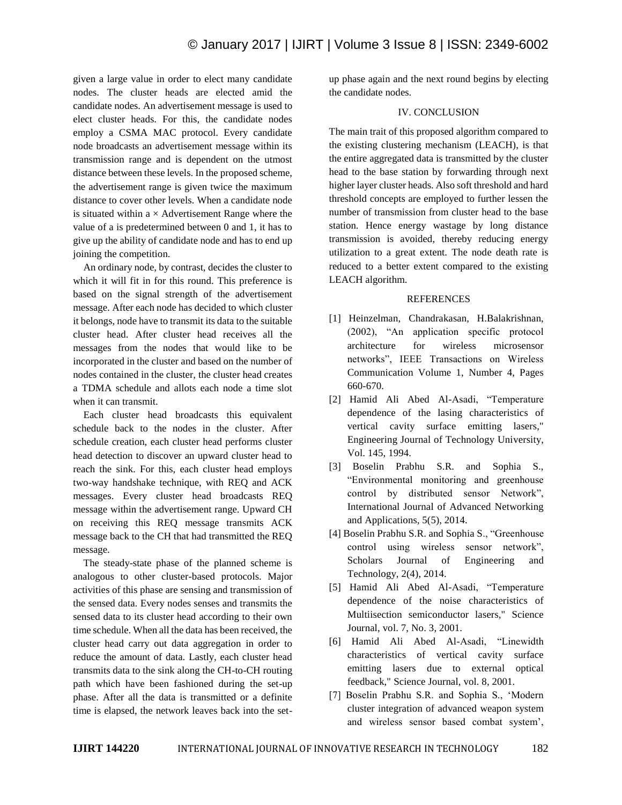given a large value in order to elect many candidate nodes. The cluster heads are elected amid the candidate nodes. An advertisement message is used to elect cluster heads. For this, the candidate nodes employ a CSMA MAC protocol. Every candidate node broadcasts an advertisement message within its transmission range and is dependent on the utmost distance between these levels. In the proposed scheme, the advertisement range is given twice the maximum distance to cover other levels. When a candidate node is situated within  $a \times$  Advertisement Range where the value of a is predetermined between 0 and 1, it has to give up the ability of candidate node and has to end up joining the competition.

An ordinary node, by contrast, decides the cluster to which it will fit in for this round. This preference is based on the signal strength of the advertisement message. After each node has decided to which cluster it belongs, node have to transmit its data to the suitable cluster head. After cluster head receives all the messages from the nodes that would like to be incorporated in the cluster and based on the number of nodes contained in the cluster, the cluster head creates a TDMA schedule and allots each node a time slot when it can transmit.

Each cluster head broadcasts this equivalent schedule back to the nodes in the cluster. After schedule creation, each cluster head performs cluster head detection to discover an upward cluster head to reach the sink. For this, each cluster head employs two-way handshake technique, with REQ and ACK messages. Every cluster head broadcasts REQ message within the advertisement range. Upward CH on receiving this REQ message transmits ACK message back to the CH that had transmitted the REQ message.

The steady-state phase of the planned scheme is analogous to other cluster-based protocols. Major activities of this phase are sensing and transmission of the sensed data. Every nodes senses and transmits the sensed data to its cluster head according to their own time schedule. When all the data has been received, the cluster head carry out data aggregation in order to reduce the amount of data. Lastly, each cluster head transmits data to the sink along the CH-to-CH routing path which have been fashioned during the set-up phase. After all the data is transmitted or a definite time is elapsed, the network leaves back into the setup phase again and the next round begins by electing the candidate nodes.

## IV. CONCLUSION

The main trait of this proposed algorithm compared to the existing clustering mechanism (LEACH), is that the entire aggregated data is transmitted by the cluster head to the base station by forwarding through next higher layer cluster heads. Also soft threshold and hard threshold concepts are employed to further lessen the number of transmission from cluster head to the base station. Hence energy wastage by long distance transmission is avoided, thereby reducing energy utilization to a great extent. The node death rate is reduced to a better extent compared to the existing LEACH algorithm.

## REFERENCES

- [1] Heinzelman, Chandrakasan, H.Balakrishnan, (2002), "An application specific protocol architecture for wireless microsensor networks", IEEE Transactions on Wireless Communication Volume 1, Number 4, Pages 660-670.
- [2] Hamid Ali Abed Al-Asadi, "Temperature dependence of the lasing characteristics of vertical cavity surface emitting lasers," Engineering Journal of Technology University, Vol. 145, 1994.
- [3] Boselin Prabhu S.R. and Sophia S., "Environmental monitoring and greenhouse control by distributed sensor Network", International Journal of Advanced Networking and Applications, 5(5), 2014.
- [4] Boselin Prabhu S.R. and Sophia S., "Greenhouse control using wireless sensor network", Scholars Journal of Engineering and Technology, 2(4), 2014.
- [5] Hamid Ali Abed Al-Asadi, "Temperature dependence of the noise characteristics of Multiisection semiconductor lasers," Science Journal, vol. 7, No. 3, 2001.
- [6] Hamid Ali Abed Al-Asadi, "Linewidth characteristics of vertical cavity surface emitting lasers due to external optical feedback," Science Journal, vol. 8, 2001.
- [7] Boselin Prabhu S.R. and Sophia S., 'Modern cluster integration of advanced weapon system and wireless sensor based combat system',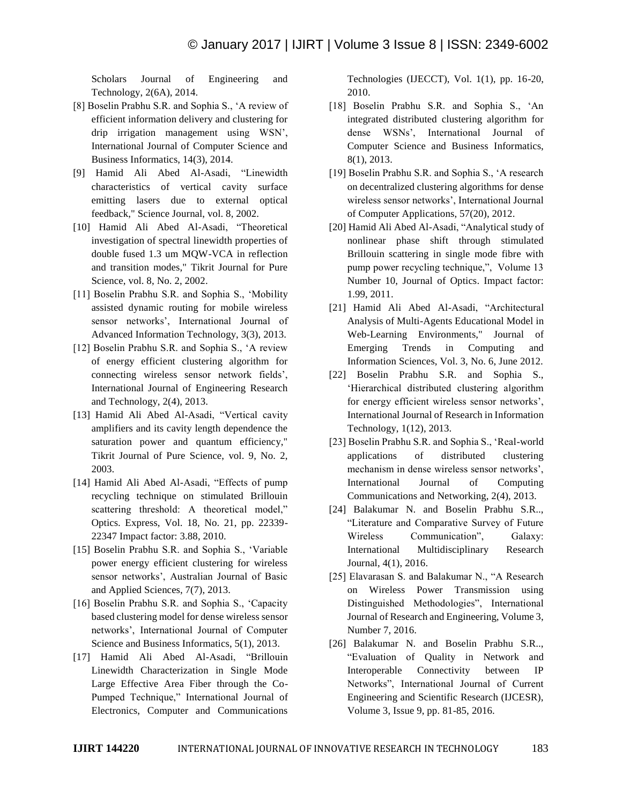Scholars Journal of Engineering and Technology, 2(6A), 2014.

- [8] Boselin Prabhu S.R. and Sophia S., 'A review of efficient information delivery and clustering for drip irrigation management using WSN', International Journal of Computer Science and Business Informatics, 14(3), 2014.
- [9] Hamid Ali Abed Al-Asadi, "Linewidth characteristics of vertical cavity surface emitting lasers due to external optical feedback," Science Journal, vol. 8, 2002.
- [10] Hamid Ali Abed Al-Asadi, "Theoretical investigation of spectral linewidth properties of double fused 1.3 um MQW-VCA in reflection and transition modes," Tikrit Journal for Pure Science, vol. 8, No. 2, 2002.
- [11] Boselin Prabhu S.R. and Sophia S., 'Mobility assisted dynamic routing for mobile wireless sensor networks', International Journal of Advanced Information Technology, 3(3), 2013.
- [12] Boselin Prabhu S.R. and Sophia S., 'A review of energy efficient clustering algorithm for connecting wireless sensor network fields', International Journal of Engineering Research and Technology, 2(4), 2013.
- [13] Hamid Ali Abed Al-Asadi, "Vertical cavity amplifiers and its cavity length dependence the saturation power and quantum efficiency," Tikrit Journal of Pure Science, vol. 9, No. 2, 2003.
- [14] Hamid Ali Abed Al-Asadi, "Effects of pump recycling technique on stimulated Brillouin scattering threshold: A theoretical model," Optics. Express, Vol. 18, No. 21, pp. 22339- 22347 Impact factor: 3.88, 2010.
- [15] Boselin Prabhu S.R. and Sophia S., 'Variable power energy efficient clustering for wireless sensor networks', Australian Journal of Basic and Applied Sciences, 7(7), 2013.
- [16] Boselin Prabhu S.R. and Sophia S., 'Capacity based clustering model for dense wireless sensor networks', International Journal of Computer Science and Business Informatics, 5(1), 2013.
- [17] Hamid Ali Abed Al-Asadi, "Brillouin Linewidth Characterization in Single Mode Large Effective Area Fiber through the Co-Pumped Technique," International Journal of Electronics, Computer and Communications

Technologies (IJECCT), Vol. 1(1), pp. 16-20, 2010.

- [18] Boselin Prabhu S.R. and Sophia S., 'An integrated distributed clustering algorithm for dense WSNs', International Journal of Computer Science and Business Informatics, 8(1), 2013.
- [19] Boselin Prabhu S.R. and Sophia S., 'A research on decentralized clustering algorithms for dense wireless sensor networks', International Journal of Computer Applications, 57(20), 2012.
- [20] Hamid Ali Abed Al-Asadi, "Analytical study of nonlinear phase shift through stimulated Brillouin scattering in single mode fibre with pump power recycling technique,", Volume 13 Number 10, Journal of Optics. Impact factor: 1.99, 2011.
- [21] Hamid Ali Abed Al-Asadi, "Architectural Analysis of Multi-Agents Educational Model in Web-Learning Environments," Journal of Emerging Trends in Computing and Information Sciences, Vol. 3, No. 6, June 2012.
- [22] Boselin Prabhu S.R. and Sophia S., 'Hierarchical distributed clustering algorithm for energy efficient wireless sensor networks', International Journal of Research in Information Technology, 1(12), 2013.
- [23] Boselin Prabhu S.R. and Sophia S., 'Real-world applications of distributed clustering mechanism in dense wireless sensor networks', International Journal of Computing Communications and Networking, 2(4), 2013.
- [24] Balakumar N. and Boselin Prabhu S.R.., "Literature and Comparative Survey of Future Wireless Communication", Galaxy: International Multidisciplinary Research Journal, 4(1), 2016.
- [25] Elavarasan S. and Balakumar N., "A Research" on Wireless Power Transmission using Distinguished Methodologies", International Journal of Research and Engineering, Volume 3, Number 7, 2016.
- [26] Balakumar N. and Boselin Prabhu S.R.., "Evaluation of Quality in Network and Interoperable Connectivity between IP Networks", International Journal of Current Engineering and Scientific Research (IJCESR), Volume 3, Issue 9, pp. 81-85, 2016.